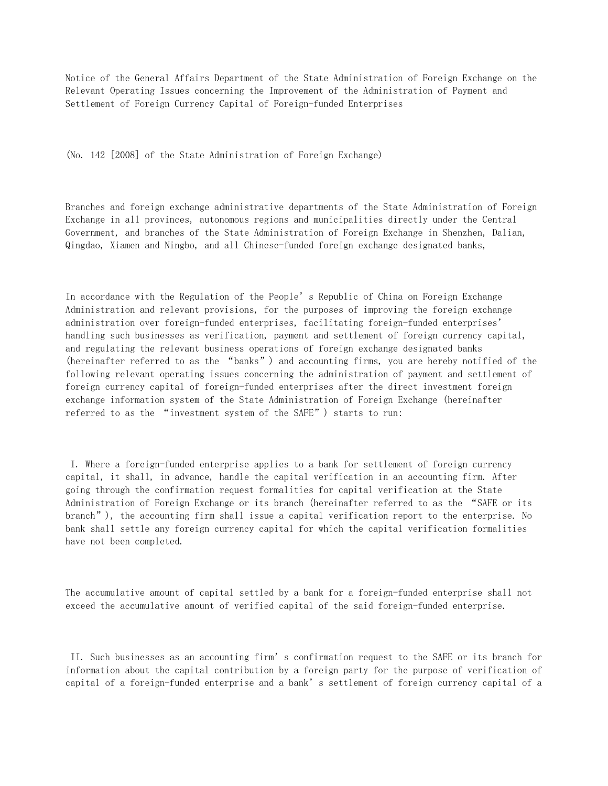Notice of the General Affairs Department of the State Administration of Foreign Exchange on the Relevant Operating Issues concerning the Improvement of the Administration of Payment and Settlement of Foreign Currency Capital of Foreign-funded Enterprises

(No. 142 [2008] of the State Administration of Foreign Exchange)

Branches and foreign exchange administrative departments of the State Administration of Foreign Exchange in all provinces, autonomous regions and municipalities directly under the Central Government, and branches of the State Administration of Foreign Exchange in Shenzhen, Dalian, Qingdao, Xiamen and Ningbo, and all Chinese-funded foreign exchange designated banks,

In accordance with the Regulation of the People's Republic of China on Foreign Exchange Administration and relevant provisions, for the purposes of improving the foreign exchange administration over foreign-funded enterprises, facilitating foreign-funded enterprises' handling such businesses as verification, payment and settlement of foreign currency capital, and regulating the relevant business operations of foreign exchange designated banks (hereinafter referred to as the "banks") and accounting firms, you are hereby notified of the following relevant operating issues concerning the administration of payment and settlement of foreign currency capital of foreign-funded enterprises after the direct investment foreign exchange information system of the State Administration of Foreign Exchange (hereinafter referred to as the "investment system of the SAFE") starts to run:

 I. Where a foreign-funded enterprise applies to a bank for settlement of foreign currency capital, it shall, in advance, handle the capital verification in an accounting firm. After going through the confirmation request formalities for capital verification at the State Administration of Foreign Exchange or its branch (hereinafter referred to as the "SAFE or its branch"), the accounting firm shall issue a capital verification report to the enterprise. No bank shall settle any foreign currency capital for which the capital verification formalities have not been completed.

The accumulative amount of capital settled by a bank for a foreign-funded enterprise shall not exceed the accumulative amount of verified capital of the said foreign-funded enterprise.

 II. Such businesses as an accounting firm's confirmation request to the SAFE or its branch for information about the capital contribution by a foreign party for the purpose of verification of capital of a foreign-funded enterprise and a bank's settlement of foreign currency capital of a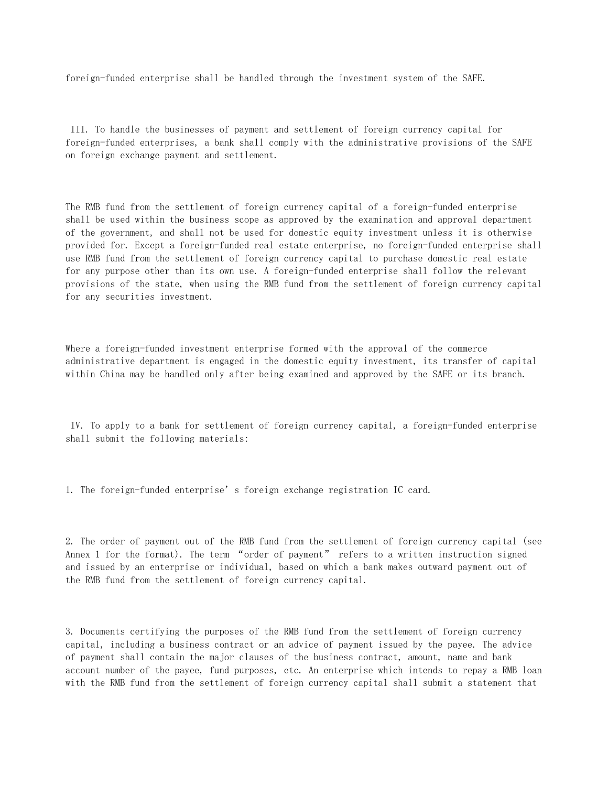foreign-funded enterprise shall be handled through the investment system of the SAFE.

 III. To handle the businesses of payment and settlement of foreign currency capital for foreign-funded enterprises, a bank shall comply with the administrative provisions of the SAFE on foreign exchange payment and settlement.

The RMB fund from the settlement of foreign currency capital of a foreign-funded enterprise shall be used within the business scope as approved by the examination and approval department of the government, and shall not be used for domestic equity investment unless it is otherwise provided for. Except a foreign-funded real estate enterprise, no foreign-funded enterprise shall use RMB fund from the settlement of foreign currency capital to purchase domestic real estate for any purpose other than its own use. A foreign-funded enterprise shall follow the relevant provisions of the state, when using the RMB fund from the settlement of foreign currency capital for any securities investment.

Where a foreign-funded investment enterprise formed with the approval of the commerce administrative department is engaged in the domestic equity investment, its transfer of capital within China may be handled only after being examined and approved by the SAFE or its branch.

 IV. To apply to a bank for settlement of foreign currency capital, a foreign-funded enterprise shall submit the following materials:

1. The foreign-funded enterprise's foreign exchange registration IC card.

2. The order of payment out of the RMB fund from the settlement of foreign currency capital (see Annex 1 for the format). The term "order of payment" refers to a written instruction signed and issued by an enterprise or individual, based on which a bank makes outward payment out of the RMB fund from the settlement of foreign currency capital.

3. Documents certifying the purposes of the RMB fund from the settlement of foreign currency capital, including a business contract or an advice of payment issued by the payee. The advice of payment shall contain the major clauses of the business contract, amount, name and bank account number of the payee, fund purposes, etc. An enterprise which intends to repay a RMB loan with the RMB fund from the settlement of foreign currency capital shall submit a statement that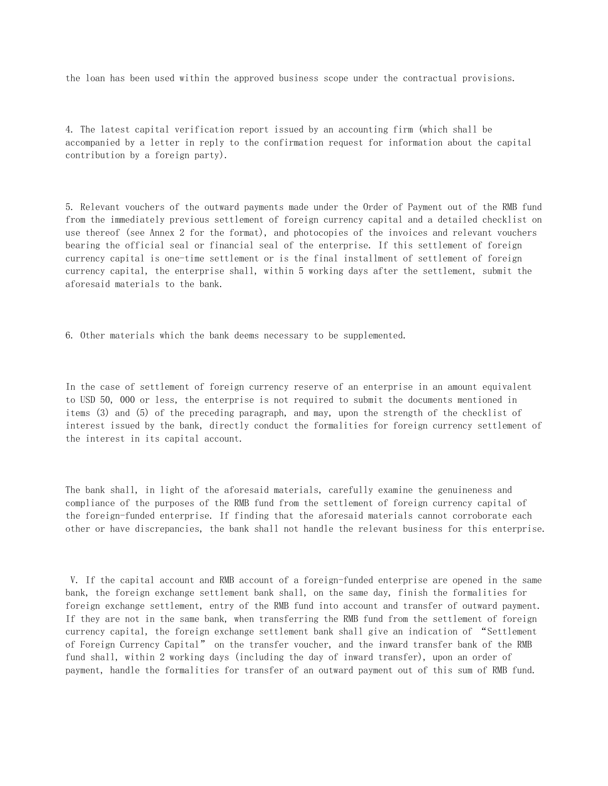the loan has been used within the approved business scope under the contractual provisions.

4. The latest capital verification report issued by an accounting firm (which shall be accompanied by a letter in reply to the confirmation request for information about the capital contribution by a foreign party).

5. Relevant vouchers of the outward payments made under the Order of Payment out of the RMB fund from the immediately previous settlement of foreign currency capital and a detailed checklist on use thereof (see Annex 2 for the format), and photocopies of the invoices and relevant vouchers bearing the official seal or financial seal of the enterprise. If this settlement of foreign currency capital is one-time settlement or is the final installment of settlement of foreign currency capital, the enterprise shall, within 5 working days after the settlement, submit the aforesaid materials to the bank.

6. Other materials which the bank deems necessary to be supplemented.

In the case of settlement of foreign currency reserve of an enterprise in an amount equivalent to USD 50, 000 or less, the enterprise is not required to submit the documents mentioned in items (3) and (5) of the preceding paragraph, and may, upon the strength of the checklist of interest issued by the bank, directly conduct the formalities for foreign currency settlement of the interest in its capital account.

The bank shall, in light of the aforesaid materials, carefully examine the genuineness and compliance of the purposes of the RMB fund from the settlement of foreign currency capital of the foreign-funded enterprise. If finding that the aforesaid materials cannot corroborate each other or have discrepancies, the bank shall not handle the relevant business for this enterprise.

 V. If the capital account and RMB account of a foreign-funded enterprise are opened in the same bank, the foreign exchange settlement bank shall, on the same day, finish the formalities for foreign exchange settlement, entry of the RMB fund into account and transfer of outward payment. If they are not in the same bank, when transferring the RMB fund from the settlement of foreign currency capital, the foreign exchange settlement bank shall give an indication of "Settlement of Foreign Currency Capital" on the transfer voucher, and the inward transfer bank of the RMB fund shall, within 2 working days (including the day of inward transfer), upon an order of payment, handle the formalities for transfer of an outward payment out of this sum of RMB fund.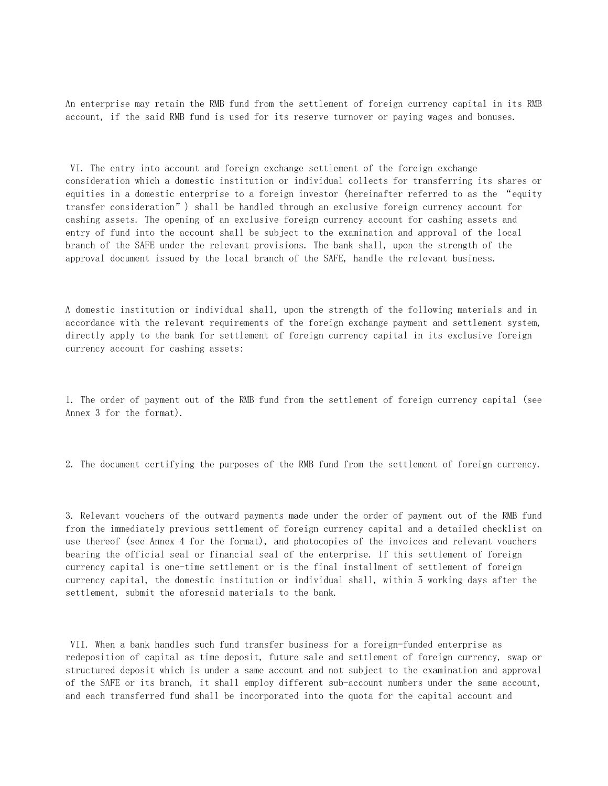An enterprise may retain the RMB fund from the settlement of foreign currency capital in its RMB account, if the said RMB fund is used for its reserve turnover or paying wages and bonuses.

 VI. The entry into account and foreign exchange settlement of the foreign exchange consideration which a domestic institution or individual collects for transferring its shares or equities in a domestic enterprise to a foreign investor (hereinafter referred to as the "equity transfer consideration") shall be handled through an exclusive foreign currency account for cashing assets. The opening of an exclusive foreign currency account for cashing assets and entry of fund into the account shall be subject to the examination and approval of the local branch of the SAFE under the relevant provisions. The bank shall, upon the strength of the approval document issued by the local branch of the SAFE, handle the relevant business.

A domestic institution or individual shall, upon the strength of the following materials and in accordance with the relevant requirements of the foreign exchange payment and settlement system, directly apply to the bank for settlement of foreign currency capital in its exclusive foreign currency account for cashing assets:

1. The order of payment out of the RMB fund from the settlement of foreign currency capital (see Annex 3 for the format).

2. The document certifying the purposes of the RMB fund from the settlement of foreign currency.

3. Relevant vouchers of the outward payments made under the order of payment out of the RMB fund from the immediately previous settlement of foreign currency capital and a detailed checklist on use thereof (see Annex 4 for the format), and photocopies of the invoices and relevant vouchers bearing the official seal or financial seal of the enterprise. If this settlement of foreign currency capital is one-time settlement or is the final installment of settlement of foreign currency capital, the domestic institution or individual shall, within 5 working days after the settlement, submit the aforesaid materials to the bank.

 VII. When a bank handles such fund transfer business for a foreign-funded enterprise as redeposition of capital as time deposit, future sale and settlement of foreign currency, swap or structured deposit which is under a same account and not subject to the examination and approval of the SAFE or its branch, it shall employ different sub-account numbers under the same account, and each transferred fund shall be incorporated into the quota for the capital account and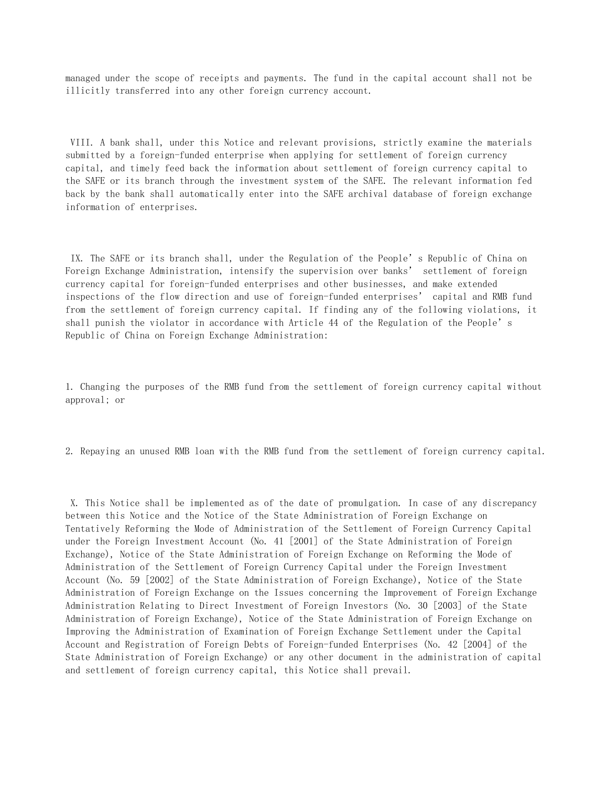managed under the scope of receipts and payments. The fund in the capital account shall not be illicitly transferred into any other foreign currency account.

 VIII. A bank shall, under this Notice and relevant provisions, strictly examine the materials submitted by a foreign-funded enterprise when applying for settlement of foreign currency capital, and timely feed back the information about settlement of foreign currency capital to the SAFE or its branch through the investment system of the SAFE. The relevant information fed back by the bank shall automatically enter into the SAFE archival database of foreign exchange information of enterprises.

 IX. The SAFE or its branch shall, under the Regulation of the People's Republic of China on Foreign Exchange Administration, intensify the supervision over banks' settlement of foreign currency capital for foreign-funded enterprises and other businesses, and make extended inspections of the flow direction and use of foreign-funded enterprises' capital and RMB fund from the settlement of foreign currency capital. If finding any of the following violations, it shall punish the violator in accordance with Article 44 of the Regulation of the People's Republic of China on Foreign Exchange Administration:

1. Changing the purposes of the RMB fund from the settlement of foreign currency capital without approval; or

2. Repaying an unused RMB loan with the RMB fund from the settlement of foreign currency capital.

 X. This Notice shall be implemented as of the date of promulgation. In case of any discrepancy between this Notice and the Notice of the State Administration of Foreign Exchange on Tentatively Reforming the Mode of Administration of the Settlement of Foreign Currency Capital under the Foreign Investment Account (No. 41 [2001] of the State Administration of Foreign Exchange), Notice of the State Administration of Foreign Exchange on Reforming the Mode of Administration of the Settlement of Foreign Currency Capital under the Foreign Investment Account (No. 59 [2002] of the State Administration of Foreign Exchange), Notice of the State Administration of Foreign Exchange on the Issues concerning the Improvement of Foreign Exchange Administration Relating to Direct Investment of Foreign Investors (No. 30 [2003] of the State Administration of Foreign Exchange), Notice of the State Administration of Foreign Exchange on Improving the Administration of Examination of Foreign Exchange Settlement under the Capital Account and Registration of Foreign Debts of Foreign-funded Enterprises (No. 42 [2004] of the State Administration of Foreign Exchange) or any other document in the administration of capital and settlement of foreign currency capital, this Notice shall prevail.